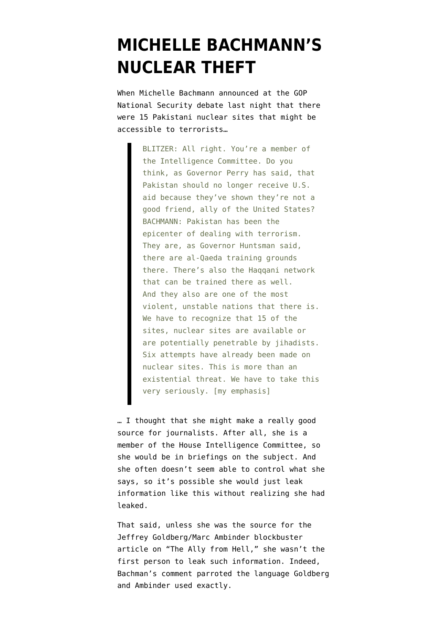## **[MICHELLE BACHMANN'S](https://www.emptywheel.net/2011/11/23/michelle-bachmanns-nuclear-theft/) [NUCLEAR THEFT](https://www.emptywheel.net/2011/11/23/michelle-bachmanns-nuclear-theft/)**

When Michelle Bachmann [announced](http://archives.cnn.com/TRANSCRIPTS/1111/22/se.06.html) at the GOP National Security debate last night that there were 15 Pakistani nuclear sites that might be accessible to terrorists…

> BLITZER: All right. You're a member of the Intelligence Committee. Do you think, as Governor Perry has said, that Pakistan should no longer receive U.S. aid because they've shown they're not a good friend, ally of the United States? BACHMANN: Pakistan has been the epicenter of dealing with terrorism. They are, as Governor Huntsman said, there are al-Qaeda training grounds there. There's also the Haqqani network that can be trained there as well. And they also are one of the most violent, unstable nations that there is. We have to recognize that 15 of the sites, nuclear sites are available or are potentially penetrable by jihadists. Six attempts have already been made on nuclear sites. This is more than an existential threat. We have to take this very seriously. [my emphasis]

… I thought that she might make a really good source for journalists. After all, she is a member of the House Intelligence Committee, so she would be in briefings on the subject. And she often doesn't seem able to control what she says, so it's possible she would just leak information like this without realizing she had leaked.

That said, unless she was the source for the [Jeffrey Goldberg/Marc Ambinder blockbuster](http://www.theatlantic.com/magazine/archive/2011/12/the-ally-from-hell/8730/) [article on "The Ally from Hell,"](http://www.theatlantic.com/magazine/archive/2011/12/the-ally-from-hell/8730/) she wasn't the first person to leak such information. Indeed, Bachman's comment parroted the language Goldberg and Ambinder used exactly.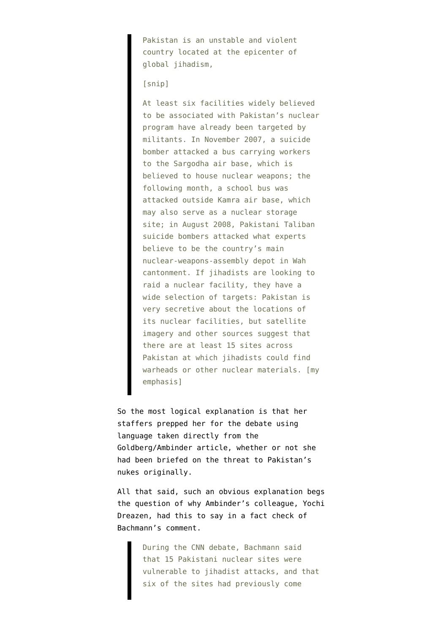Pakistan is an unstable and violent country located at the epicenter of global jihadism,

## [snip]

At least six facilities widely believed to be associated with Pakistan's nuclear program have already been targeted by militants. In November 2007, a suicide bomber attacked a bus carrying workers to the Sargodha air base, which is believed to house nuclear weapons; the following month, a school bus was attacked outside Kamra air base, which may also serve as a nuclear storage site; in August 2008, Pakistani Taliban suicide bombers attacked what experts believe to be the country's main nuclear-weapons-assembly depot in Wah cantonment. If jihadists are looking to raid a nuclear facility, they have a wide selection of targets: Pakistan is very secretive about the locations of its nuclear facilities, but satellite imagery and other sources suggest that there are at least 15 sites across Pakistan at which jihadists could find warheads or other nuclear materials. [my emphasis]

So the most logical explanation is that her staffers prepped her for the debate using language taken directly from the Goldberg/Ambinder article, whether or not she had been briefed on the threat to Pakistan's nukes originally.

All that said, such an obvious explanation begs the question of why Ambinder's colleague, Yochi Dreazen, [had this to say](http://www.nationaljournal.com/fact-check-how-serious-is-the-threat-to-pakistan-s-nuclear-program--20111122) in a fact check of Bachmann's comment.

> During the CNN debate, Bachmann said that 15 Pakistani nuclear sites were vulnerable to jihadist attacks, and that six of the sites had previously come